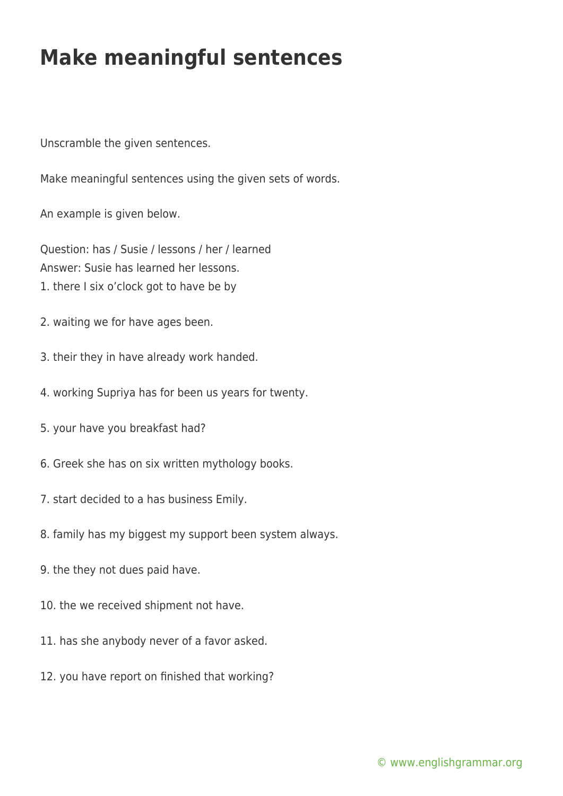## **Make meaningful sentences**

Unscramble the given sentences.

Make meaningful sentences using the given sets of words.

An example is given below.

Question: has / Susie / lessons / her / learned Answer: Susie has learned her lessons. 1. there I six o'clock got to have be by

- 2. waiting we for have ages been.
- 3. their they in have already work handed.
- 4. working Supriya has for been us years for twenty.
- 5. your have you breakfast had?
- 6. Greek she has on six written mythology books.
- 7. start decided to a has business Emily.
- 8. family has my biggest my support been system always.
- 9. the they not dues paid have.
- 10. the we received shipment not have.
- 11. has she anybody never of a favor asked.
- 12. you have report on finished that working?